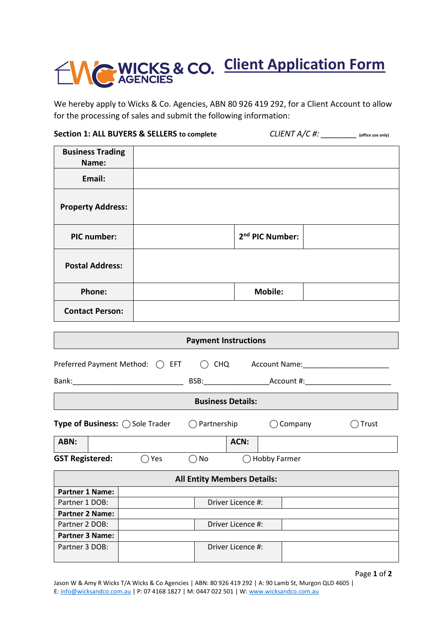## **CONCICES & CO. Client Application Form**

We hereby apply to Wicks & Co. Agencies, ABN 80 926 419 292, for a Client Account to allow for the processing of sales and submit the following information:

| Section 1: ALL BUYERS & SELLERS to complete |          |                                    |                   | $CLIENT A/C #: ____________$ (office use only) |       |
|---------------------------------------------|----------|------------------------------------|-------------------|------------------------------------------------|-------|
| <b>Business Trading</b>                     |          |                                    |                   |                                                |       |
| Name:                                       |          |                                    |                   |                                                |       |
| Email:                                      |          |                                    |                   |                                                |       |
| <b>Property Address:</b>                    |          |                                    |                   |                                                |       |
| <b>PIC number:</b>                          |          |                                    |                   | 2 <sup>nd</sup> PIC Number:                    |       |
| <b>Postal Address:</b>                      |          |                                    |                   |                                                |       |
| Phone:                                      |          |                                    |                   | <b>Mobile:</b>                                 |       |
| <b>Contact Person:</b>                      |          |                                    |                   |                                                |       |
|                                             |          |                                    |                   |                                                |       |
|                                             |          | <b>Payment Instructions</b>        |                   |                                                |       |
| Preferred Payment Method: $\bigcap$ EFT     |          |                                    |                   | C CHQ Account Name: 2008 Account Name:         |       |
|                                             |          |                                    |                   |                                                |       |
|                                             |          | <b>Business Details:</b>           |                   |                                                |       |
| <b>Type of Business: ◯ Sole Trader</b>      |          | $\bigcirc$ Partnership             |                   | $\bigcirc$ Company                             | Trust |
| ABN:                                        |          |                                    | ACN:              |                                                |       |
| <b>GST Registered:</b>                      | $()$ Yes | $\bigcirc$ No                      |                   | () Hobby Farmer                                |       |
|                                             |          | <b>All Entity Members Details:</b> |                   |                                                |       |
| <b>Partner 1 Name:</b>                      |          |                                    |                   |                                                |       |
| Partner 1 DOB:                              |          |                                    | Driver Licence #: |                                                |       |
| <b>Partner 2 Name:</b>                      |          |                                    |                   |                                                |       |
| Partner 2 DOB:                              |          |                                    | Driver Licence #: |                                                |       |
| <b>Partner 3 Name:</b>                      |          |                                    |                   |                                                |       |
| Partner 3 DOB:                              |          |                                    | Driver Licence #: |                                                |       |